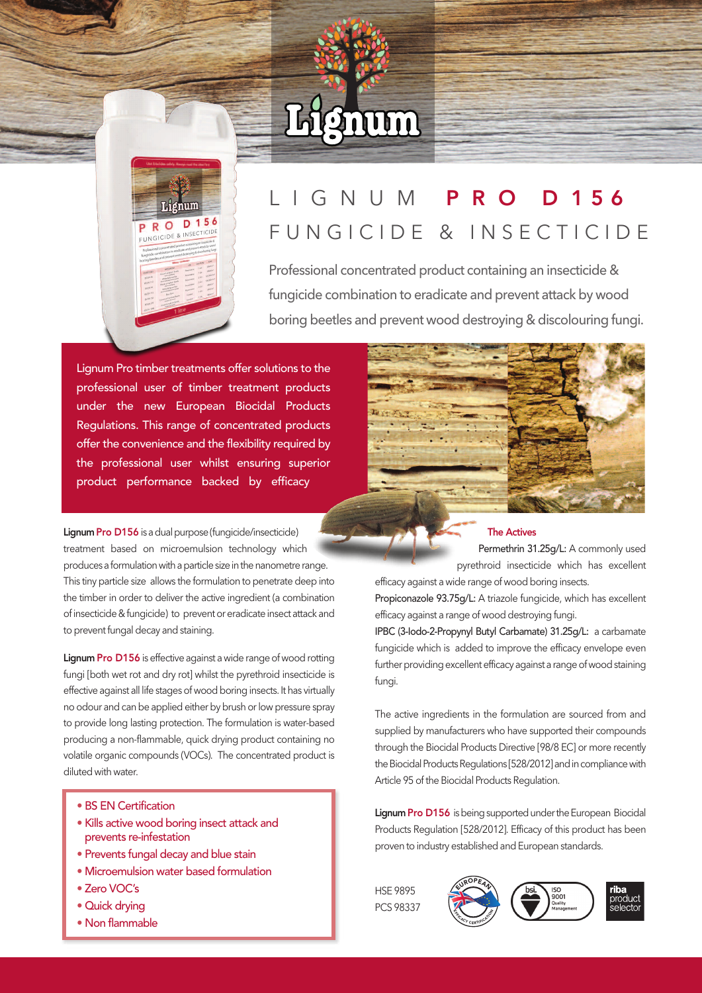# Lignum



## LIGNUM PRO D156 F U N G I C I D E & I N S E C T I C I D E

Professional concentrated product containing an insecticide & fungicide combination to eradicate and prevent attack by wood boring beetles and prevent wood destroying & discolouring fungi.

Lignum Pro timber treatments offer solutions to the professional user of timber treatment products under the new European Biocidal Products Regulations. This range of concentrated products offer the convenience and the flexibility required by the professional user whilst ensuring superior product performance backed by efficacy

Lignum Pro D156 is a dual purpose (fungicide/insecticide) treatment based on microemulsion technology which produces a formulation with a particle size in the nanometre range. This tiny particle size allows the formulation to penetrate deep into the timber in order to deliver the active ingredient (a combination of insecticide & fungicide) to prevent or eradicate insect attack and to prevent fungal decay and staining.

Lignum Pro D156 is effective against a wide range of wood rotting fungi [both wet rot and dry rot] whilst the pyrethroid insecticide is effective against all life stages of wood boring insects. It has virtually no odour and can be applied either by brush or low pressure spray to provide long lasting protection. The formulation is water-based producing a non-flammable, quick drying product containing no volatile organic compounds (VOCs). The concentrated product is diluted with water.

- BS EN Certification
- Kills active wood boring insect attack and prevents re-infestation
- Prevents fungal decay and blue stain
- Microemulsion water based formulation
- Zero VOC's
- Quick drying
- Non flammable



### The Actives

Permethrin 31.25g/L: A commonly used pyrethroid insecticide which has excellent efficacy against a wide range of wood boring insects.

Propiconazole 93.75g/L: A triazole fungicide, which has excellent efficacy against a range of wood destroying fungi.

IPBC (3-Iodo-2-Propynyl Butyl Carbamate) 31.25g/L: a carbamate fungicide which is added to improve the efficacy envelope even further providing excellent efficacy against a range of wood staining fungi.

The active ingredients in the formulation are sourced from and supplied by manufacturers who have supported their compounds through the Biocidal Products Directive [98/8 EC] or more recently the Biocidal Products Regulations [528/2012] and in compliance with Article 95 of the Biocidal Products Regulation.

Lignum Pro D156 is being supported under the European Biocidal Products Regulation [528/2012]. Efficacy of this product has been proven to industry established and European standards.

HSE 9895 PCS 98337